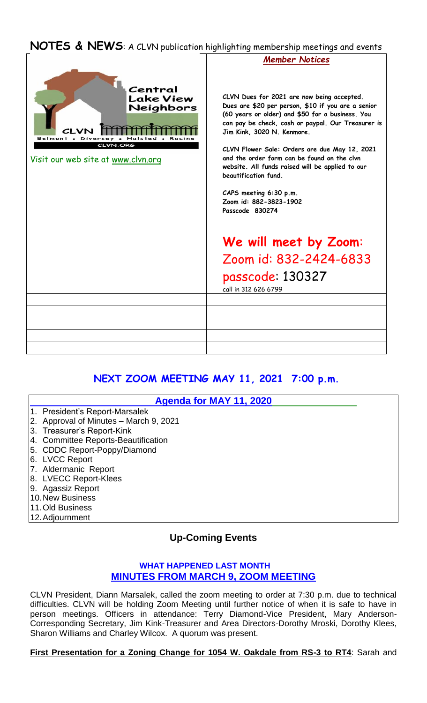## **NOTES & NEWS**: A CLVN publication highlighting membership meetings and events



# **NEXT ZOOM MEETING MAY 11, 2021 7:00 p.m.**

|                                | Agenda for MAY 11, 2020                |
|--------------------------------|----------------------------------------|
| 1. President's Report-Marsalek |                                        |
|                                | 2. Approval of Minutes - March 9, 2021 |
| 3. Treasurer's Report-Kink     |                                        |
|                                | 4. Committee Reports-Beautification    |
| 5. CDDC Report-Poppy/Diamond   |                                        |
| 6. LVCC Report                 |                                        |
| 7. Aldermanic Report           |                                        |
| 8. LVECC Report-Klees          |                                        |
| 9. Agassiz Report              |                                        |
| 10. New Business               |                                        |
| 11. Old Business               |                                        |
| 12. Adjournment                |                                        |

## **Up-Coming Events**

### **WHAT HAPPENED LAST MONTH MINUTES FROM MARCH 9, ZOOM MEETING**

CLVN President, Diann Marsalek, called the zoom meeting to order at 7:30 p.m. due to technical difficulties. CLVN will be holding Zoom Meeting until further notice of when it is safe to have in person meetings. Officers in attendance: Terry Diamond-Vice President, Mary Anderson-Corresponding Secretary, Jim Kink-Treasurer and Area Directors-Dorothy Mroski, Dorothy Klees, Sharon Williams and Charley Wilcox. A quorum was present.

### **First Presentation for a Zoning Change for 1054 W. Oakdale from RS-3 to RT4**: Sarah and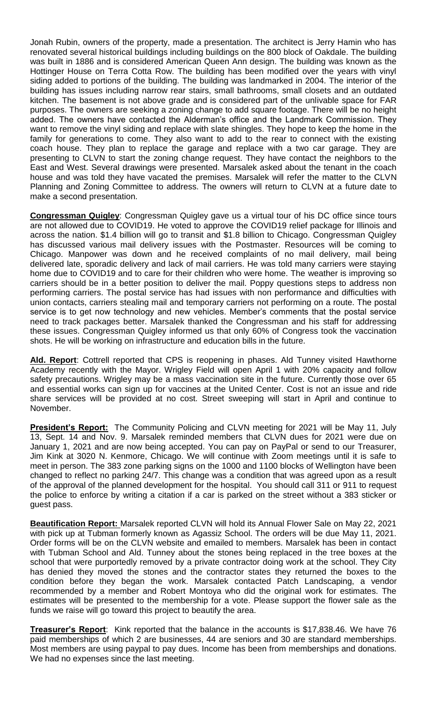Jonah Rubin, owners of the property, made a presentation. The architect is Jerry Hamin who has renovated several historical buildings including buildings on the 800 block of Oakdale. The building was built in 1886 and is considered American Queen Ann design. The building was known as the Hottinger House on Terra Cotta Row. The building has been modified over the years with vinyl siding added to portions of the building. The building was landmarked in 2004. The interior of the building has issues including narrow rear stairs, small bathrooms, small closets and an outdated kitchen. The basement is not above grade and is considered part of the unlivable space for FAR purposes. The owners are seeking a zoning change to add square footage. There will be no height added. The owners have contacted the Alderman's office and the Landmark Commission. They want to remove the vinyl siding and replace with slate shingles. They hope to keep the home in the family for generations to come. They also want to add to the rear to connect with the existing coach house. They plan to replace the garage and replace with a two car garage. They are presenting to CLVN to start the zoning change request. They have contact the neighbors to the East and West. Several drawings were presented. Marsalek asked about the tenant in the coach house and was told they have vacated the premises. Marsalek will refer the matter to the CLVN Planning and Zoning Committee to address. The owners will return to CLVN at a future date to make a second presentation.

**Congressman Quigley**: Congressman Quigley gave us a virtual tour of his DC office since tours are not allowed due to COVID19. He voted to approve the COVID19 relief package for Illinois and across the nation. \$1.4 billion will go to transit and \$1.8 billion to Chicago. Congressman Quigley has discussed various mail delivery issues with the Postmaster. Resources will be coming to Chicago. Manpower was down and he received complaints of no mail delivery, mail being delivered late, sporadic delivery and lack of mail carriers. He was told many carriers were staying home due to COVID19 and to care for their children who were home. The weather is improving so carriers should be in a better position to deliver the mail. Poppy questions steps to address non performing carriers. The postal service has had issues with non performance and difficulties with union contacts, carriers stealing mail and temporary carriers not performing on a route. The postal service is to get now technology and new vehicles. Member's comments that the postal service need to track packages better. Marsalek thanked the Congressman and his staff for addressing these issues. Congressman Quigley informed us that only 60% of Congress took the vaccination shots. He will be working on infrastructure and education bills in the future.

**Ald. Report**: Cottrell reported that CPS is reopening in phases. Ald Tunney visited Hawthorne Academy recently with the Mayor. Wrigley Field will open April 1 with 20% capacity and follow safety precautions. Wrigley may be a mass vaccination site in the future. Currently those over 65 and essential works can sign up for vaccines at the United Center. Cost is not an issue and ride share services will be provided at no cost. Street sweeping will start in April and continue to November.

President's Report: The Community Policing and CLVN meeting for 2021 will be May 11, July 13, Sept. 14 and Nov. 9. Marsalek reminded members that CLVN dues for 2021 were due on January 1, 2021 and are now being accepted. You can pay on PayPal or send to our Treasurer, Jim Kink at 3020 N. Kenmore, Chicago. We will continue with Zoom meetings until it is safe to meet in person. The 383 zone parking signs on the 1000 and 1100 blocks of Wellington have been changed to reflect no parking 24/7. This change was a condition that was agreed upon as a result of the approval of the planned development for the hospital. You should call 311 or 911 to request the police to enforce by writing a citation if a car is parked on the street without a 383 sticker or guest pass.

**Beautification Report:** Marsalek reported CLVN will hold its Annual Flower Sale on May 22, 2021 with pick up at Tubman formerly known as Agassiz School. The orders will be due May 11, 2021. Order forms will be on the CLVN website and emailed to members. Marsalek has been in contact with Tubman School and Ald. Tunney about the stones being replaced in the tree boxes at the school that were purportedly removed by a private contractor doing work at the school. They City has denied they moved the stones and the contractor states they returned the boxes to the condition before they began the work. Marsalek contacted Patch Landscaping, a vendor recommended by a member and Robert Montoya who did the original work for estimates. The estimates will be presented to the membership for a vote. Please support the flower sale as the funds we raise will go toward this project to beautify the area.

**Treasurer's Report**: Kink reported that the balance in the accounts is \$17,838.46. We have 76 paid memberships of which 2 are businesses, 44 are seniors and 30 are standard memberships. Most members are using paypal to pay dues. Income has been from memberships and donations. We had no expenses since the last meeting.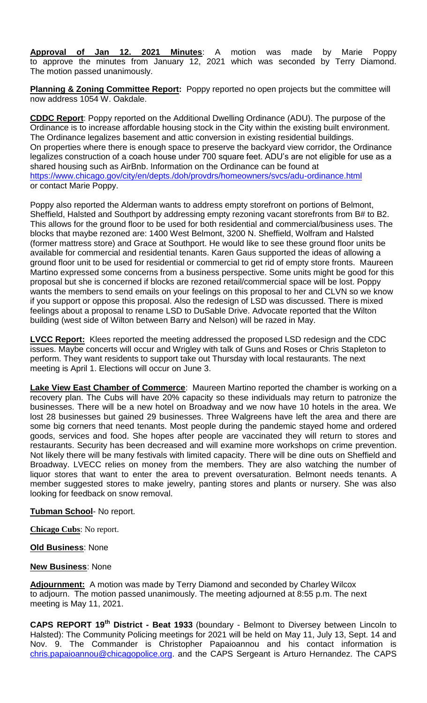**Approval of Jan 12. 2021 Minutes**: A motion was made by Marie Poppy to approve the minutes from January 12, 2021 which was seconded by Terry Diamond. The motion passed unanimously.

**Planning & Zoning Committee Report:** Poppy reported no open projects but the committee will now address 1054 W. Oakdale.

**CDDC Report**: Poppy reported on the Additional Dwelling Ordinance (ADU). The purpose of the Ordinance is to increase affordable housing stock in the City within the existing built environment. The Ordinance legalizes basement and attic conversion in existing residential buildings. On properties where there is enough space to preserve the backyard view corridor, the Ordinance legalizes construction of a coach house under 700 square feet. ADU's are not eligible for use as a shared housing such as AirBnb. Information on the Ordinance can be found at <https://www.chicago.gov/city/en/depts./doh/provdrs/homeowners/svcs/adu-ordinance.html> or contact Marie Poppy.

Poppy also reported the Alderman wants to address empty storefront on portions of Belmont, Sheffield, Halsted and Southport by addressing empty rezoning vacant storefronts from B# to B2. This allows for the ground floor to be used for both residential and commercial/business uses. The blocks that maybe rezoned are: 1400 West Belmont, 3200 N. Sheffield, Wolfram and Halsted (former mattress store) and Grace at Southport. He would like to see these ground floor units be available for commercial and residential tenants. Karen Gaus supported the ideas of allowing a ground floor unit to be used for residential or commercial to get rid of empty store fronts. Maureen Martino expressed some concerns from a business perspective. Some units might be good for this proposal but she is concerned if blocks are rezoned retail/commercial space will be lost. Poppy wants the members to send emails on your feelings on this proposal to her and CLVN so we know if you support or oppose this proposal. Also the redesign of LSD was discussed. There is mixed feelings about a proposal to rename LSD to DuSable Drive. Advocate reported that the Wilton building (west side of Wilton between Barry and Nelson) will be razed in May.

**LVCC Report:** Klees reported the meeting addressed the proposed LSD redesign and the CDC issues. Maybe concerts will occur and Wrigley with talk of Guns and Roses or Chris Stapleton to perform. They want residents to support take out Thursday with local restaurants. The next meeting is April 1. Elections will occur on June 3.

**Lake View East Chamber of Commerce**: Maureen Martino reported the chamber is working on a recovery plan. The Cubs will have 20% capacity so these individuals may return to patronize the businesses. There will be a new hotel on Broadway and we now have 10 hotels in the area. We lost 28 businesses but gained 29 businesses. Three Walgreens have left the area and there are some big corners that need tenants. Most people during the pandemic stayed home and ordered goods, services and food. She hopes after people are vaccinated they will return to stores and restaurants. Security has been decreased and will examine more workshops on crime prevention. Not likely there will be many festivals with limited capacity. There will be dine outs on Sheffield and Broadway. LVECC relies on money from the members. They are also watching the number of liquor stores that want to enter the area to prevent oversaturation. Belmont needs tenants. A member suggested stores to make jewelry, panting stores and plants or nursery. She was also looking for feedback on snow removal.

### **Tubman School**- No report.

**Chicago Cubs**: No report.

### **Old Business**: None

#### **New Business**: None

**Adjournment:** A motion was made by Terry Diamond and seconded by Charley Wilcox to adjourn. The motion passed unanimously. The meeting adjourned at 8:55 p.m. The next meeting is May 11, 2021.

**CAPS REPORT 19th District - Beat 1933** (boundary - Belmont to Diversey between Lincoln to Halsted): The Community Policing meetings for 2021 will be held on May 11, July 13, Sept. 14 and Nov. 9. The Commander is Christopher Papaioannou and his contact information is [chris.papaioannou@chicagopolice.org.](mailto:chris.papaioannou@chicagopolice.org) and the CAPS Sergeant is Arturo Hernandez. The CAPS